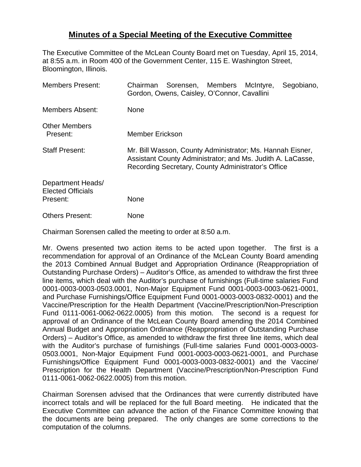## **Minutes of a Special Meeting of the Executive Committee**

The Executive Committee of the McLean County Board met on Tuesday, April 15, 2014, at 8:55 a.m. in Room 400 of the Government Center, 115 E. Washington Street, Bloomington, Illinois.

| <b>Members Present:</b>                                   | Chairman Sorensen, Members McIntyre,<br>Segobiano,<br>Gordon, Owens, Caisley, O'Connor, Cavallini                |
|-----------------------------------------------------------|------------------------------------------------------------------------------------------------------------------|
| <b>Members Absent:</b>                                    | <b>None</b>                                                                                                      |
| <b>Other Members</b><br>Present:<br><b>Staff Present:</b> | Member Erickson<br>Mr. Bill Wasson, County Administrator; Ms. Hannah Eisner,                                     |
|                                                           | Assistant County Administrator; and Ms. Judith A. LaCasse,<br>Recording Secretary, County Administrator's Office |
| Department Heads/<br><b>Elected Officials</b>             |                                                                                                                  |
| Present:                                                  | None                                                                                                             |
| <b>Others Present:</b>                                    | None                                                                                                             |

Chairman Sorensen called the meeting to order at 8:50 a.m.

Mr. Owens presented two action items to be acted upon together. The first is a recommendation for approval of an Ordinance of the McLean County Board amending the 2013 Combined Annual Budget and Appropriation Ordinance (Reappropriation of Outstanding Purchase Orders) – Auditor's Office, as amended to withdraw the first three line items, which deal with the Auditor's purchase of furnishings (Full-time salaries Fund 0001-0003-0003-0503.0001, Non-Major Equipment Fund 0001-0003-0003-0621-0001, and Purchase Furnishings/Office Equipment Fund 0001-0003-0003-0832-0001) and the Vaccine/Prescription for the Health Department (Vaccine/Prescription/Non-Prescription Fund 0111-0061-0062-0622.0005) from this motion. The second is a request for approval of an Ordinance of the McLean County Board amending the 2014 Combined Annual Budget and Appropriation Ordinance (Reappropriation of Outstanding Purchase Orders) – Auditor's Office, as amended to withdraw the first three line items, which deal with the Auditor's purchase of furnishings (Full-time salaries Fund 0001-0003-0003- 0503.0001, Non-Major Equipment Fund 0001-0003-0003-0621-0001, and Purchase Furnishings/Office Equipment Fund 0001-0003-0003-0832-0001) and the Vaccine/ Prescription for the Health Department (Vaccine/Prescription/Non-Prescription Fund 0111-0061-0062-0622.0005) from this motion.

Chairman Sorensen advised that the Ordinances that were currently distributed have incorrect totals and will be replaced for the full Board meeting. He indicated that the Executive Committee can advance the action of the Finance Committee knowing that the documents are being prepared. The only changes are some corrections to the computation of the columns.